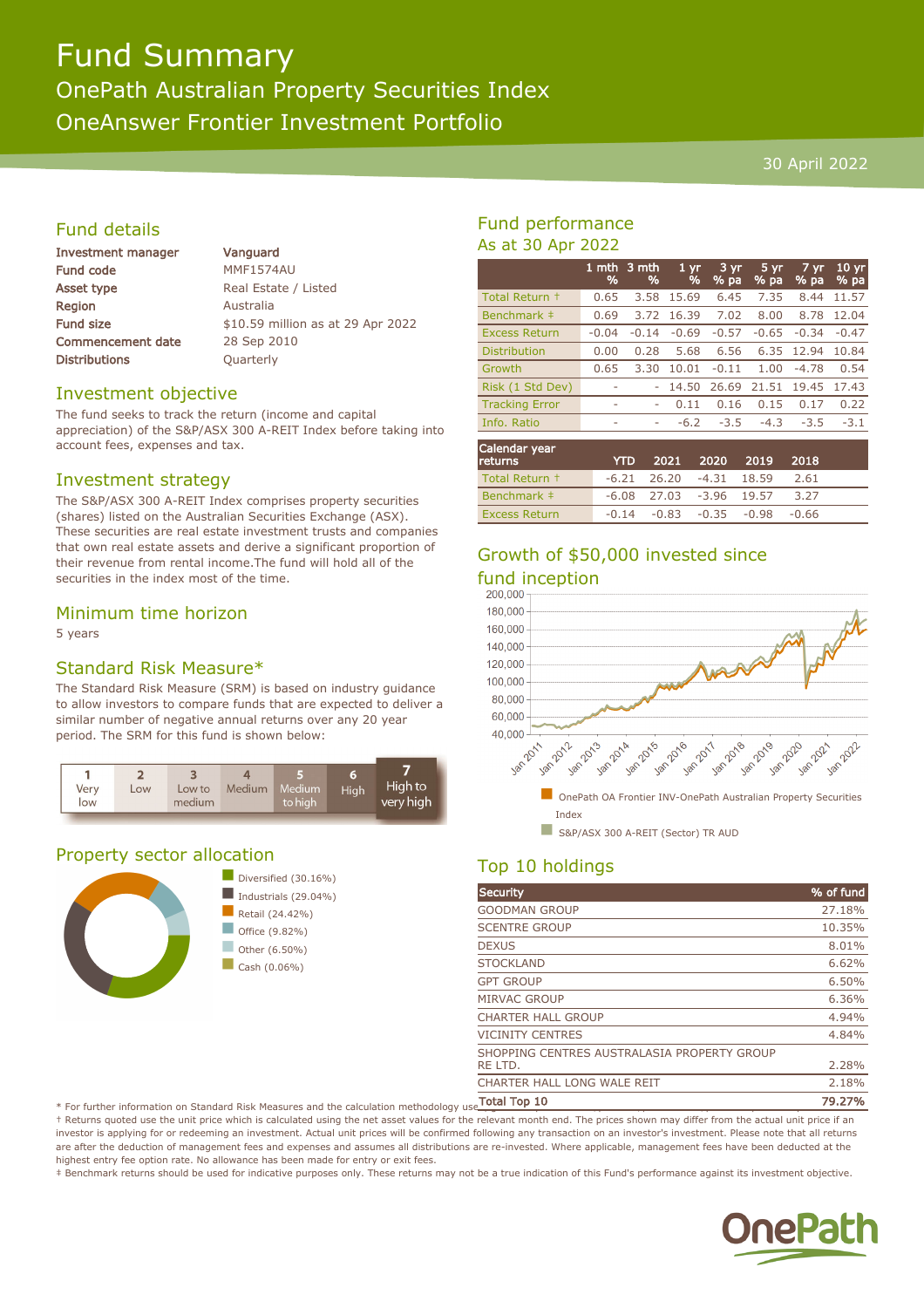# Fund Summary

# OnePath Australian Property Securities Index

OneAnswer Frontier Investment Portfolio

#### 30 April 2022

## Fund details

| Investment manager       |  |
|--------------------------|--|
| <b>Fund code</b>         |  |
| <b>Asset type</b>        |  |
| Region                   |  |
| <b>Fund size</b>         |  |
| <b>Commencement date</b> |  |
| <b>Distributions</b>     |  |

Vanguard MMF1574AU Real Estate / Listed **Australia** \$10.59 million as at 29 Apr 2022 28 Sep 2010 **Quarterly** 

#### Investment objective

The fund seeks to track the return (income and capital appreciation) of the S&P/ASX 300 A-REIT Index before taking into account fees, expenses and tax.

#### Investment strategy

The S&P/ASX 300 A-REIT Index comprises property securities (shares) listed on the Australian Securities Exchange (ASX). These securities are real estate investment trusts and companies that own real estate assets and derive a significant proportion of their revenue from rental income.The fund will hold all of the securities in the index most of the time.

### Minimum time horizon

5 years

# Standard Risk Measure\*

The Standard Risk Measure (SRM) is based on industry guidance to allow investors to compare funds that are expected to deliver a similar number of negative annual returns over any 20 year period. The SRM for this fund is shown below:



# Property sector allocation



## Fund performance As at 30 Apr 2022

|                       | 1 mth<br>% | 3 mth<br>% | 1 <sub>yr</sub><br>% | $3 \, yr$<br>% pa | 5 yr<br>% pa | 7 yr<br>$%$ pa | 10 <sub>yr</sub><br>% pa |
|-----------------------|------------|------------|----------------------|-------------------|--------------|----------------|--------------------------|
| Total Return +        | 0.65       | 3.58       | 15.69                | 6.45              | 7.35         | 8.44           | 11.57                    |
| Benchmark ‡           | 0.69       | 3.72       | 16.39                | 7.02              | 8.00         | 8.78           | 12.04                    |
| <b>Excess Return</b>  | $-0.04$    | $-0.14$    | $-0.69$              | $-0.57$           | $-0.65$      | $-0.34$        | $-0.47$                  |
| <b>Distribution</b>   | 0.00       | 0.28       | 5.68                 | 6.56              | 6.35         | 12.94          | 10.84                    |
| Growth                | 0.65       | 3.30       | 10.01                | $-0.11$           | 1.00         | $-4.78$        | 0.54                     |
| Risk (1 Std Dev)      |            |            | 14.50                | 26.69             | 21.51        | 19.45          | 17.43                    |
| <b>Tracking Error</b> | ٠          | ۰          | 0.11                 | 0.16              | 0.15         | 0.17           | 0.22                     |
| Info. Ratio           |            | ۰          | $-6.2$               | $-3.5$            | $-4.3$       | $-3.5$         | $-3.1$                   |
|                       |            |            |                      |                   |              |                |                          |

| Calendar year<br><b>returns</b> | <b>YTD</b> |                                 | 2021 2020 2019 2018                     |      |  |
|---------------------------------|------------|---------------------------------|-----------------------------------------|------|--|
| Total Return +                  |            | $-6.21$ $26.20$ $-4.31$ $18.59$ |                                         | 2.61 |  |
| Benchmark #                     |            | $-6.08$ 27.03 $-3.96$ 19.57     |                                         | 3.27 |  |
| <b>Excess Return</b>            |            |                                 | $-0.14$ $-0.83$ $-0.35$ $-0.98$ $-0.66$ |      |  |

# Growth of \$50,000 invested since





# Top 10 holdings

| Security                                    | % of fund |
|---------------------------------------------|-----------|
| <b>GOODMAN GROUP</b>                        | 27.18%    |
| <b>SCENTRE GROUP</b>                        | 10.35%    |
| <b>DEXUS</b>                                | 8.01%     |
| <b>STOCKLAND</b>                            | 6.62%     |
| <b>GPT GROUP</b>                            | 6.50%     |
| <b>MIRVAC GROUP</b>                         | 6.36%     |
| <b>CHARTER HALL GROUP</b>                   | 4.94%     |
| <b>VICINITY CENTRES</b>                     | 4.84%     |
| SHOPPING CENTRES AUSTRALASIA PROPERTY GROUP |           |
| RE LTD.                                     | 2.28%     |
| CHARTER HALL LONG WALE REIT                 | 2.18%     |
| Tatal Tan 10                                | יפר פר    |

 $^*$  For further information on Standard Risk Measures and the calculation methodology use  $\overline{\text{Total Top 10}}$   $\ldots$ 

† Returns quoted use the unit price which is calculated using the net asset values for the relevant month end. The prices shown may differ from the actual unit price if an investor is applying for or redeeming an investment. Actual unit prices will be confirmed following any transaction on an investor's investment. Please note that all returns are after the deduction of management fees and expenses and assumes all distributions are re-invested. Where applicable, management fees have been deducted at the highest entry fee option rate. No allowance has been made for entry or exit fees.

‡ Benchmark returns should be used for indicative purposes only. These returns may not be a true indication of this Fund's performance against its investment objective.